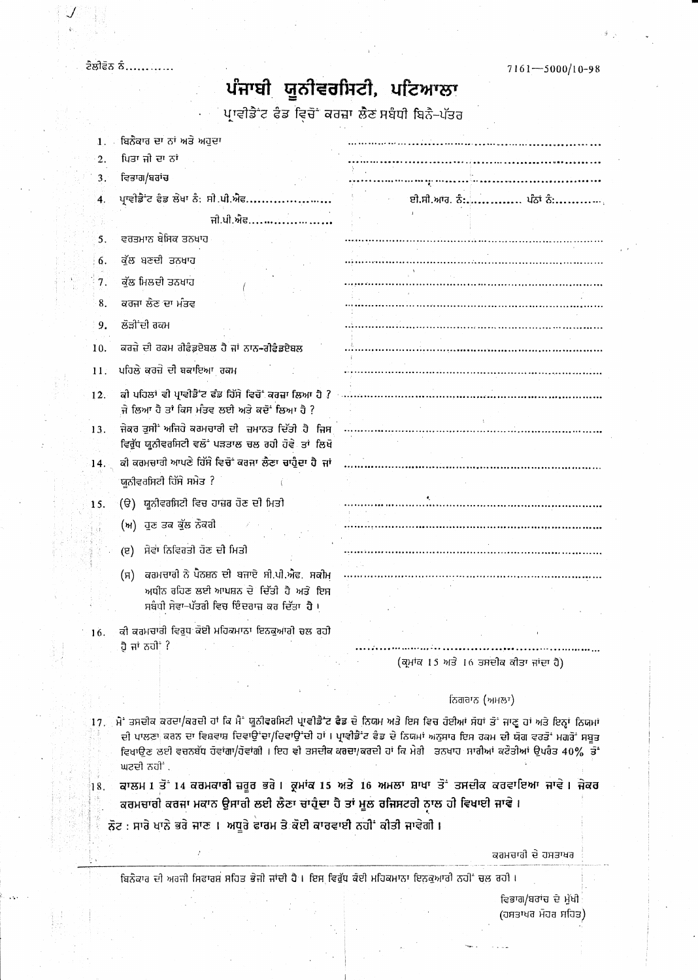ਟੈਲੀਫੋਨ ਨੰ...........

## ਪੰਜਾਬੀ ਯੂਨੀਵਰਸਿਟੀ, ਪਟਿਆਲਾ

ਪ੍ਰਾਵੀਡੈਂਟ ਫੈਡ ਵਿਚੋਂ ਕਰਜ਼ਾ ਲੈਣ ਸਬੰਧੀ ਬਿਨੈ-ਪੱਤਰ

| 1. . | ਬਿਨੌਕਾਰ ਦਾ ਨਾਂ ਅਤੇ ਅਹੁਦਾ                             |                                                                                                                                                                                                                                                                                                                                                            |
|------|------------------------------------------------------|------------------------------------------------------------------------------------------------------------------------------------------------------------------------------------------------------------------------------------------------------------------------------------------------------------------------------------------------------------|
| 2.   | ਪਿਤਾ ਜੀ ਦਾ ਨਾਂ                                       |                                                                                                                                                                                                                                                                                                                                                            |
| 3.   | ਵਿਭਾਗ/ਬਰਾਂਚ                                          |                                                                                                                                                                                                                                                                                                                                                            |
| 4.   | ਪ੍ਰਾਵੀਡੈਂਟ ਫੈਡ ਲੇਖਾ ਨੰ: ਸੀ.ਪੀ.ਐਫ                     | ਈ.ਸੀ.ਆਰ. ਨੰ: ਪੰਨਾਂ ਨੰ:<br>$\tau = \tau_{\rm eff}$                                                                                                                                                                                                                                                                                                          |
|      | ਜੀ.ਪੀ.ਐਫ                                             |                                                                                                                                                                                                                                                                                                                                                            |
| 5.   | ਵਰਤਮਾਨ ਬੇਸਿਕ ਤਨਖਾਹ                                   |                                                                                                                                                                                                                                                                                                                                                            |
| 6.   | ਕੁੱਲ ਬਣਦੀ ਤਨਖਾਹ                                      |                                                                                                                                                                                                                                                                                                                                                            |
| 7.   | ਕੁੱਲ ਮਿਲਦੀ ਤਨਖਾਹ                                     |                                                                                                                                                                                                                                                                                                                                                            |
| 8.   | ਕਰਜਾ ਲੌਣ ਦਾ ਮੰਤਵ                                     |                                                                                                                                                                                                                                                                                                                                                            |
| 9.   | ਲੋੜੀਂਦੀ ਰਕਮ                                          |                                                                                                                                                                                                                                                                                                                                                            |
|      |                                                      |                                                                                                                                                                                                                                                                                                                                                            |
| 10.  | ਕਰਜ਼ੇ ਦੀ ਰਕਮ ਰੀਫੈਡਏਬਲ ਹੈ ਜਾਂ ਨਾਨ-ਰੀਫੈਡਏਬਲ            |                                                                                                                                                                                                                                                                                                                                                            |
| 11.  | ਪਹਿਲੇ ਕਰਜ਼ੇ ਦੀ ਬਕਾਇਆ ਰਕਮ                             |                                                                                                                                                                                                                                                                                                                                                            |
| 12.  |                                                      |                                                                                                                                                                                                                                                                                                                                                            |
|      | ਜੇ ਲਿਆ ਹੈ ਤਾਂ ਕਿਸ ਮੰਤਵ ਲਈ ਅਤੇ ਕਦੋਂ ਲਿਆ ਹੈ ?          |                                                                                                                                                                                                                                                                                                                                                            |
| 13.  | ਵਿਰੁੱਧ ਯੂਨੀਵਰਸਿਟੀ ਵਲੋਂ ਪੜਤਾਲ ਚਲ ਰਹੀ ਹੋਵੇ ਤਾਂ ਲਿਖੋ    |                                                                                                                                                                                                                                                                                                                                                            |
| 14.  | ਕੀ ਕਰਮਚਾਰੀ ਆਪਣੇ ਹਿੱਸੇ ਵਿਚੋਂ ਕਰਜਾ ਲੈਣਾ ਚਾਹੁੰਦਾ ਹੈ ਜਾਂ |                                                                                                                                                                                                                                                                                                                                                            |
|      | ਯੂਨੀਵਰਸਿਟੀ ਹਿੱਸੇ ਸਮੇਤ ?                              |                                                                                                                                                                                                                                                                                                                                                            |
| 15.  | (ੳ) ਯੂਨੀਵਰਸਿਟੀ ਵਿਚ ਹਾਜ਼ਰ ਹੋਣ ਦੀ ਮਿਤੀ                 |                                                                                                                                                                                                                                                                                                                                                            |
|      |                                                      |                                                                                                                                                                                                                                                                                                                                                            |
|      | (ਅ) ਹੁਣ ਤਕ ਕੁੱਲ ਨੌਕਰੀ                                |                                                                                                                                                                                                                                                                                                                                                            |
|      | ਸੇਵਾ ਨਿਵਿਰਤੀ ਹੋਣ ਦੀ ਮਿਤੀ<br>$(\overline{g})$         |                                                                                                                                                                                                                                                                                                                                                            |
|      | ਕਰਮਚਾਰੀ ਨੇ ਪੈਨਸ਼ਨ ਦੀ ਬਜਾਏ ਸੀ.ਪੀ.ਐਫ. ਸਕੀਮ<br>(H)      |                                                                                                                                                                                                                                                                                                                                                            |
|      | ਅਧੀਨ ਰਹਿਣ ਲਈ ਆਪਸ਼ਨ ਦੇ ਦਿੱਤੀ ਹੈ ਅਤੇ ਇਸ                |                                                                                                                                                                                                                                                                                                                                                            |
|      | ਸਬੰਧੀ ਸੇਵਾ–ਪੱਤਰੀ ਵਿਚ ਇੰਦਰਾਜ਼ ਕਰ ਦਿੱਤਾ ਹੈ ।           |                                                                                                                                                                                                                                                                                                                                                            |
| 16.  | ਕੀ ਕਰਮਚਾਰੀ ਵਿਰੁਧ ਕੋਈ ਮਹਿਕਮਾਨਾ ਇਨਕੁਆਰੀ ਚਲ ਰਹੀ         |                                                                                                                                                                                                                                                                                                                                                            |
|      | ਹੈ ਜਾਂ ਨਹੀਂ ?                                        |                                                                                                                                                                                                                                                                                                                                                            |
|      |                                                      | (ਕ੍ਰਮਾਂਕ 15 ਅਤੇ 16 ਤਸਦੀਕ ਕੀਤਾ ਜਾਂਦਾ ਹੈ)                                                                                                                                                                                                                                                                                                                    |
|      |                                                      | ਨਿਗਰਾਨ (ਅਮਲਾ)                                                                                                                                                                                                                                                                                                                                              |
|      |                                                      |                                                                                                                                                                                                                                                                                                                                                            |
|      | ਘਟਦੀ ਨਹੀਂ .                                          | 17. ੍ਰਮੈਂ ਤਸਦੀਕ ਕਰਦਾ/ਕਰਦੀ ਹਾਂ ਕਿ ਮੈਂ ਯੂਨੀਵਰਸਿਟੀ ਪ੍ਰਾਵੀਡੈ ਟ ਫੈਡ ਦੇ ਨਿਯਮ ਅਤੇ ਇਸ ਵਿਚ ਹੋਈਆਂ ਸੋਧਾਂ ਤੋਂ ਜਾਣੂ ਹਾਂ ਅਤੇ ਇਨ੍ਹਾਂ ਨਿਯਮਾਂ<br>ਦੀ ਪਾਲਣਾ ਕਰਨ ਦਾ ਵਿਸ਼ਵਾਸ਼ ਦਿਵਾਉਂਦਾ/ਦਿਵਾਉਂਦੀ ਹਾਂ । ਪ੍ਰਾਵੀਡੈਂਟ ਫੈਡ ਦੇ ਨਿਯਮਾਂ ਅਨੁਸਾਰ ਇਸ ਰਕਮ ਦੀ ਯੋਗ ਵਰਤੋਂ ਮਗਰੋਂ ਸਬੂਤ<br>ਵਿਖਾਉਣ ਲਈ ਵਚਨਬੱਧ ਹੋਵਾਂਗਾ/ਹੋਵਾਂਗੀ । ਇਹ ਵੀ ਤਸਦੀਕ ਕਰਦਾ/ਕਰਦੀ ਹਾਂ ਕਿ ਮੇਰੀ ਤਨਖਾਹ ਸਾਰੀਆਂ ਕਟੌਤੀਆਂ ਉਪਰੰਤ 40% ਤੋਂ |
| 18.  |                                                      | ਕਾਲਮ 1 ਤੋਂ 14 ਕਰਮਕਾਰੀ ਜ਼ਰੂਰ ਭਰੇ । ਕ੍ਰਮਾਂਕ 15 ਅਤੇ 16 ਅਮਲਾ ਸ਼ਾਖਾ ਤੋਂ ਤਸਦੀਕ ਕਰਵਾਇਆ ਜਾਵੇ । ਜੇਕਰ                                                                                                                                                                                                                                                                |

ਕਰਮਚਾਰੀ ਕਰਜਾ ਮਕਾਨ ਉਸਾਰੀ ਲਈ ਲੈਣਾ ਚਾਹੁੰਦਾ ਹੈ ਤਾਂ ਮੂਲ ਰਜਿਸਟਰੀ ਨਾਲ ਹੀ ਵਿਖਾਈ ਜਾਵੇ।

ਨੋਟ : ਸਾਰੇ ਖਾਨੇ ਭਰੇ ਜਾਣ । ਅਧੂਰੇ ਫਾਰਮ ਤੇ ਕੋਈ ਕਾਰਵਾਈ ਨਹੀਂ ਕੀਤੀ ਜਾਵੇਗੀ ।

ਕਰਮਚਾਰੀ ਦੇ ਹਸਤਾਖਰ

ਬਿਨੈਕਾਰ ਦੀ ਅਰਜੀ ਸਿਫਾਰਸ਼ ਸਹਿਤ ਭੇਜੀ ਜਾਂਦੀ ਹੈ। ਇਸ ਵਿਰੁੱਧ ਕੋਈ ਮਹਿਕਮਾਨਾ ਇਨਕੁਆਰੀ ਨਹੀਂ ਚਲ ਰਹੀ।

ਵਿਭਾਗ/ਬਰਾਂਚ ਦੇ ਮੁੱਖੀ (ਹਸਤਾਖਰ ਮੋਹਰ ਸਹਿਤ)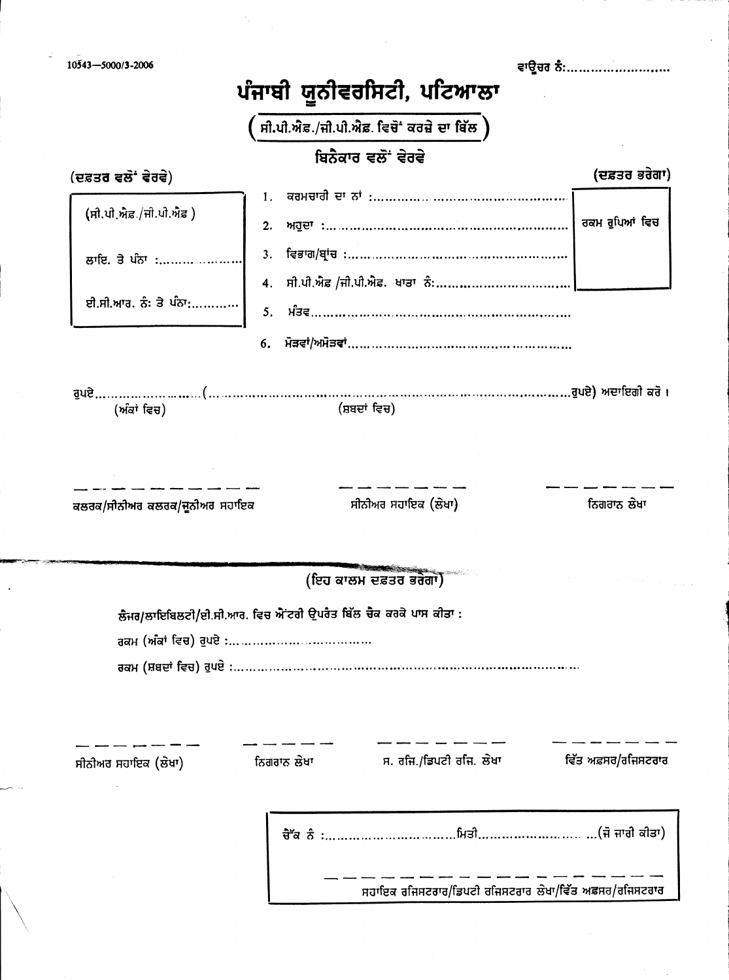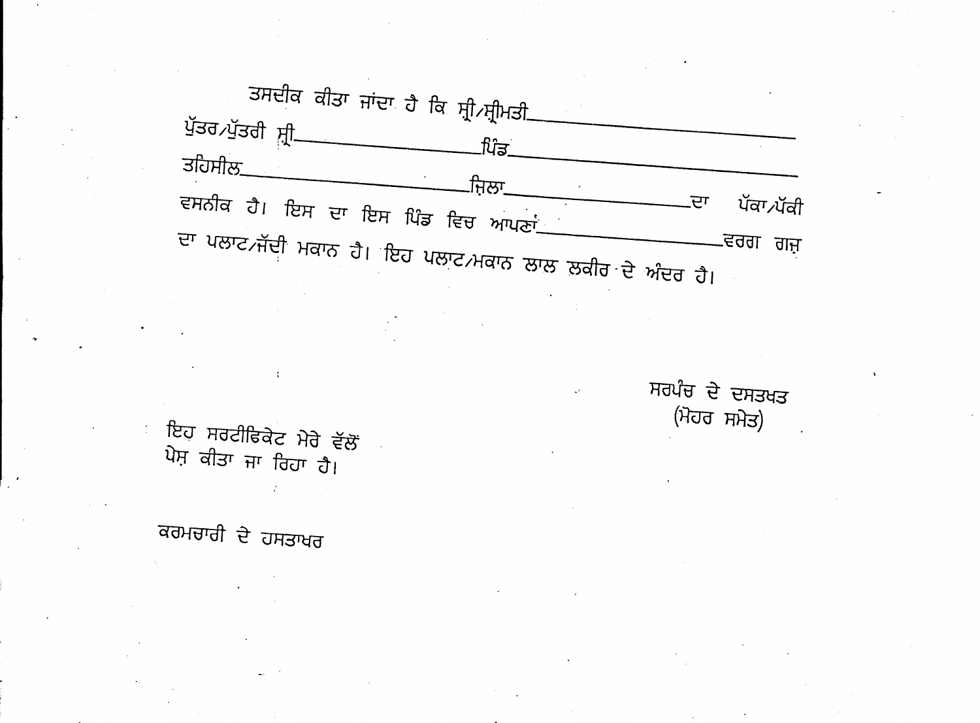ਤਸਦੀਕ ਕੀਤਾ ਜਾਂਦਾ ਹੈ ਕਿ ਸ਼੍ਰੀ ਸ੍ਰੀਮਤੀ\_ ਪੁੱਤਰ ਪੁੱਤਰੀ ਸ਼੍ਰੀ\_ ਪਿੰਡ ਤਹਿਸੀਲ\_ .ਜਿਲਾ\_ ਵਸਨੀਕ ਹੈ। ਇਸ ਦਾ ਇਸ ਪਿੰਡ ਵਿਚ ਆਪਣਾਂ\_\_\_ ਜ਼ੁ ਪੱਕਾ ∕ਪੱਕੀ ਦਾ ਪਲਾਟ ਜੱਦੀ ਮਕਾਨ ਹੈ। ਇਹ ਪਲਾਟ ਮਕਾਨ ਲਾਲ ਲੁਕੀਰ ਦੇ ਅੰਦਰ ਹੈ। -ਵਰਗ ਗਜ਼

ਸਰਪੰਚ ਦੇ ਦਸਤਖਤ (ਮੋਹਰ ਸਮੇਤ)

ਇਹ ਸਰਟੀਫਿਕੇਟ ਮੇਰੇ ਵੱਲੋਂ ਪੇਸ਼ ਕੀਤਾ ਜਾ ਰਿਹਾ ਹੈ।

ਕਰਮਚਾਰੀ ਦੇ ਹਸਤਾਖਰ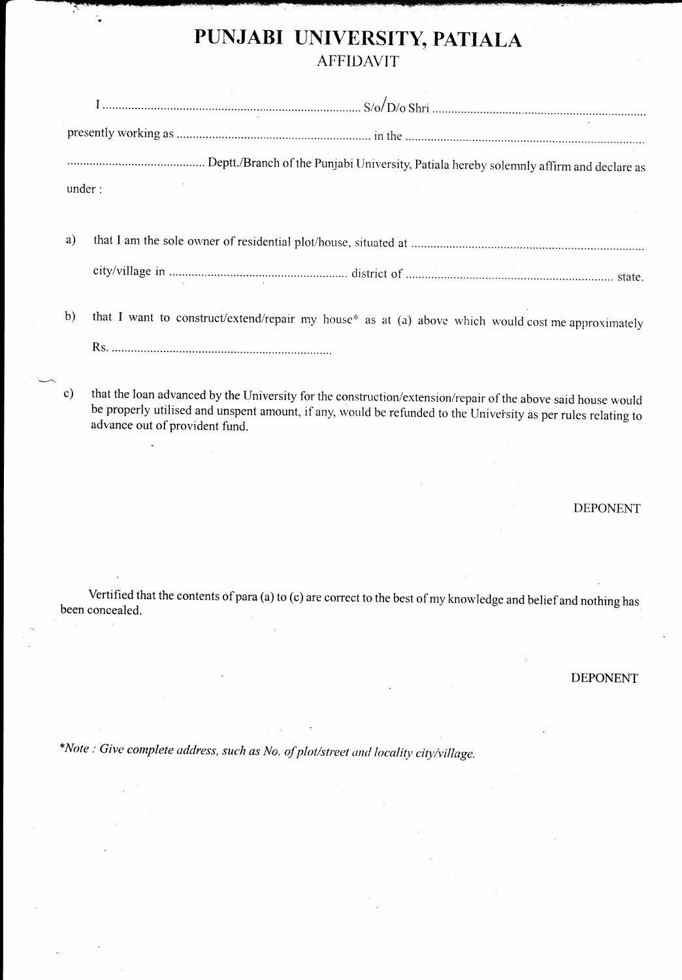# PUNJABI UNIVERSITY, PATIALA

|        | $S/O/D/O$ Shri |                                                                                        |  |  |
|--------|----------------|----------------------------------------------------------------------------------------|--|--|
|        |                |                                                                                        |  |  |
|        |                | Deptt./Branch of the Punjabi University, Patiala hereby solemnly affirm and declare as |  |  |
| under: |                |                                                                                        |  |  |
|        |                |                                                                                        |  |  |
| a)     |                |                                                                                        |  |  |
|        |                |                                                                                        |  |  |
|        |                |                                                                                        |  |  |

b) that I want to construct/extend/repair my house\* as at (a) above which would cost me approximately

Rs.

c) that the loan advanced by the University for the construction/extension/repair of the above said house would be properly utilised and unspent amount, if any, would be refunded to the University as per rules relating to advance out of provident fund.

DEPONENT

Vertified that the contents of para (a) to (c) are correct to the best of my knowledge and belief and nothing has been concealed.

DEPONENT

\*Note : Give complete address, such as No. of plot/street and locality city/village.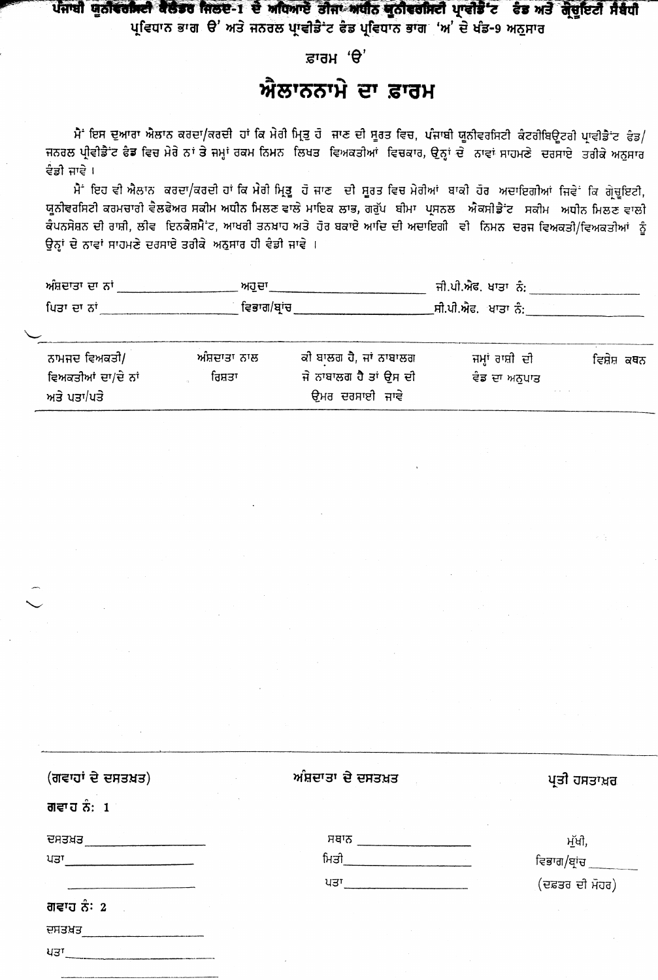### ਪੰਜਾਬੀ ਯੂਨੀਵਰਸਿਟੀ ਕੈਲੇਡਰ ਜਿਲਦ-1 ਦੇ ਅਧਿਆਏ ਤੀਜਾ ਅਧੀਨ ਯੂਨੀਵਰਸਿਟੀ ਪ੍ਰਾਵੀਡੈ ਟ ਫੰਡ ਅਤੇ ਗ੍ਰੇਚੂਇਟੀ ਸੰਬੰਧੀ

ਪ੍ਰਵਿਧਾਨ ਭਾਗ ੳ' ਅਤੇ ਜਨਰਲ ਪਾਵੀਡੈ ਟ ਫੇਡ ਪ੍ਰਵਿਧਾਨ ਭਾਗ 'ਅ' ਦੇ ਖੰਡ-9 ਅਨੁਸਾਰ

#### ਫ਼ਾਰਮ 'ੳ'

## ਐਲਾਨਨਾਮੇ ਦਾ ਫ਼ਾਰਮ

ਮੈਂ ਇਸ ਦੁਆਰਾ ਐਲਾਨ ਕਰਦਾ/ਕਰਦੀ ਹਾਂ ਕਿ ਮੇਰੀ ਮ੍ਰਿਤੁ ਹੋ ਜਾਣ ਦੀ ਸੂਰਤ ਵਿਚ, ਪੰਜਾਬੀ ਯੂਨੀਵਰਸਿਟੀ ਕੰਟਰੀਬਿਊਟਰੀ ਪ੍ਰਾਵੀਡੈਂਟ ਫੰਡ/ ਜਨਰਲ ਪ੍ਰੀਵੀਡੈਂਟ ਫੈਡ ਵਿਚ ਮੇਰੇ ਨਾਂ ਤੇ ਜਮ੍ਹਾਂ ਰਕਮ ਨਿਮਨ ਲਿਖਤ ਵਿਅਕਤੀਆਂ ਵਿਚਕਾਰ, ਉਨ੍ਹਾਂ ਦੇ ਨਾਵਾਂ ਸਾਹਮਣੇ ਦਰਸਾਏ ਤਰੀਕੇ ਅਨਸਾਰ ਵੈਡੀ ਜਾਵੇ ।

ਮੈਂ ਇਹ ਵੀ ਐਲਾਨ ਕਰਦਾ/ਕਰਦੀ ਹਾਂ ਕਿ ਮੇਰੀ ਮ੍ਰਿਤੂ ਹੋ ਜਾਣ ਦੀ ਸੂਰਤ ਵਿਚ ਮੇਰੀਆਂ ਬਾਕੀ ਹੋਰ ਅਦਾਇਗੀਆਂ ਜਿਵੇਂ ਕਿ ਗ੍ਰੇਚੂਇਟੀ, ਯੂਨੀਵਰਸਿਟੀ ਕਰਮਚਾਰੀ ਵੈਲਫੇਅਰ ਸਕੀਮ ਅਧੀਨ ਮਿਲਣ ਵਾਲੇ ਮਾਇਕ ਲਾਭ, ਗਰੁੱਪ ਬੀਮਾ ਪ੍ਰਸਨਲ ਐਕਸੀਡੈਂਟ ਸਕੀਮ ਅਧੀਨ ਮਿਲਣ ਵਾਲੀ ਕੰਪਨਸੇਸ਼ਨ ਦੀ ਰਾਸ਼ੀ, ਲੀਵ ਇਨਕੈਸ਼ਮੈਂ ਟ, ਆਖਰੀ ਤਨਖ਼ਾਹ ਅਤੇ ਹੋਰ ਬਕਾਏ ਆਦਿ ਦੀ ਅਦਾਇਗੀ ਵੀ ਨਿਮਨ ਦਰਜ ਵਿਅਕਤੀ/ਵਿਅਕਤੀਆਂ ਨੂੰ ਉਨ੍ਹਾਂ ਦੇ ਨਾਵਾਂ ਸਾਹਮਣੇ ਦਰਸਾਏ ਤਰੀਕੇ ਅਨੁਸਾਰ ਹੀ ਵੰਡੀ ਜਾਵੇ ।

| ਅਸ਼ਦਾਤਾ ਦਾ ਨਾਂ                | ਅਹਦਾ       | ਜੀ.ਪੀ.ਐਫ. ਖਾਤਾ ਨੰ:  |  |
|-------------------------------|------------|---------------------|--|
| ਪਿਤਾ ਦਾ ਨਾਂ<br>______________ | ਵਿਭਾਗ/ਬਾਂਚ | ੁਸੀ.ਪੀ.ਐਫ. ਖਾਤਾ ਨੰ: |  |

| ਨਾਮਜਦ ਵਿਅਕਤੀ/      | ਅੰਸ਼ਦਾਤਾ ਨਾਲ | ਕੀ ਬਾਲਗ ਹੈ, ਜਾਂ ਨਾਬਾਲਗ | ਜਮ੍ਹਾਂ ਰਾਸ਼ੀ ਦੀ | ਵਿਸ਼ੇਸ਼ ਕਥਨ |
|--------------------|--------------|------------------------|-----------------|-------------|
| ਵਿਅਕਤੀਆਂ ਦਾ/ਦੇ ਨਾਂ | ਰਿਸ਼ਤਾ       | ਜੇ ਨਾਬਾਲਗ ਹੈ ਤਾਂ ੳਸ ਦੀ | ਵੋਡ ਦਾ ਅਨੁਪਾਤ   |             |
| ਅਤੇ ਪਤਾ/ਪਤੇ        |              | ਉਮਰ ਦਰਸਾਈ ਜਾਵੇ         |                 |             |

| (ਗਵਾਹਾਂ ਦੇ ਦਸਤਖ਼ਤ) | ਅੰਸ਼ਦਾਤਾ ਦੇ ਦਸਤਖ਼ਤ | ਪ੍ਰਤੀ ਹਸਤਾਖ਼ਰ   |
|--------------------|--------------------|-----------------|
| ਗਵਾਹ ਨੰ: 1         |                    |                 |
| ਦਸਤਖ਼ਤ             | ਸਥਾਨ               | ਮੁੱਖੀ,          |
| ਪਤਾ                | ਮਿਤੀ               | ਵਿਭਾਗ/ਬ੍ਰਾਂਚ    |
|                    | ਪਤਾ                | (ਦਫ਼ਤਰ ਦੀ ਮੋਹਰ) |
| ਗਵਾਹ ਨੰ: 2         |                    |                 |
| ਦਸਤਖ਼ਤ             |                    |                 |
| ਪਤਾ                |                    |                 |